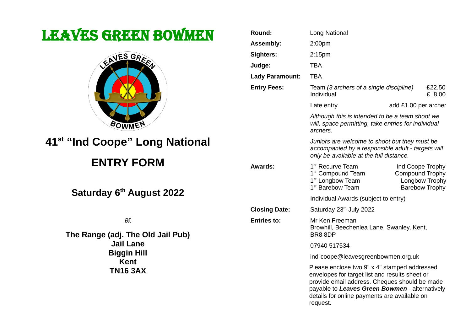# LEAVES GREEN BOWMEN



## **41st "Ind Coope" Long National**

## **ENTRY FORM**

**Saturday 6th August 2022**

at

**The Range (adj. The Old Jail Pub) Jail Lane Biggin Hill Kent TN16 3AX**

| Round:                 | <b>Long National</b>                                                                                                                                                                                                                                          |                                            |                                         |
|------------------------|---------------------------------------------------------------------------------------------------------------------------------------------------------------------------------------------------------------------------------------------------------------|--------------------------------------------|-----------------------------------------|
| <b>Assembly:</b>       | 2:00 <sub>pm</sub>                                                                                                                                                                                                                                            |                                            |                                         |
| Sighters:              | 2:15 <sub>pm</sub>                                                                                                                                                                                                                                            |                                            |                                         |
| Judge:                 | <b>TBA</b>                                                                                                                                                                                                                                                    |                                            |                                         |
| <b>Lady Paramount:</b> | <b>TBA</b>                                                                                                                                                                                                                                                    |                                            |                                         |
| <b>Entry Fees:</b>     | Team (3 archers of a single discipline)<br>£22.50<br>Individual<br>£ 8.00                                                                                                                                                                                     |                                            |                                         |
|                        | Late entry                                                                                                                                                                                                                                                    | add £1.00 per archer                       |                                         |
|                        | Although this is intended to be a team shoot we<br>will, space permitting, take entries for individual<br>archers.                                                                                                                                            |                                            |                                         |
|                        | Juniors are welcome to shoot but they must be<br>accompanied by a responsible adult - targets will<br>only be available at the full distance.                                                                                                                 |                                            |                                         |
| <b>Awards:</b>         | 1 <sup>st</sup> Recurve Team<br>1 <sup>st</sup> Compound Team<br>1 <sup>st</sup> Longbow Team<br>1 <sup>st</sup> Barebow Team                                                                                                                                 | Ind Coope Trophy<br><b>Compound Trophy</b> | Longbow Trophy<br><b>Barebow Trophy</b> |
|                        | Individual Awards (subject to entry)                                                                                                                                                                                                                          |                                            |                                         |
| <b>Closing Date:</b>   | Saturday 23rd July 2022                                                                                                                                                                                                                                       |                                            |                                         |
| <b>Entries to:</b>     | Mr Ken Freeman<br>Browhill, Beechenlea Lane, Swanley, Kent,<br>BR8 8DP                                                                                                                                                                                        |                                            |                                         |
|                        | 07940 517534                                                                                                                                                                                                                                                  |                                            |                                         |
|                        | ind-coope@leavesgreenbowmen.org.uk                                                                                                                                                                                                                            |                                            |                                         |
|                        | Please enclose two 9" x 4" stamped addressed<br>envelopes for target list and results sheet or<br>provide email address. Cheques should be made<br>payable to Leaves Green Bowmen - alternatively<br>details for online payments are available on<br>request. |                                            |                                         |